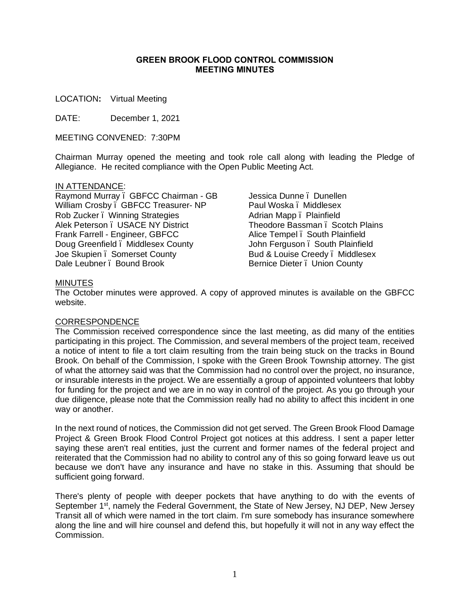#### **GREEN BROOK FLOOD CONTROL COMMISSION MEETING MINUTES**

LOCATION**:** Virtual Meeting

DATE: December 1, 2021

MEETING CONVENED: 7:30PM

Chairman Murray opened the meeting and took role call along with leading the Pledge of Allegiance. He recited compliance with the Open Public Meeting Act.

#### IN ATTENDANCE:

Raymond Murray – GBFCC Chairman - GB William Crosby – GBFCC Treasurer- NP Rob Zucker – Winning Strategies Alek Peterson – USACE NY District Frank Farrell - Engineer, GBFCC Doug Greenfield – Middlesex County Joe Skupien – Somerset County Dale Leubner . Bound Brook

Jessica Dunne – Dunellen Paul Woska – Middlesex Adrian Mapp. Plainfield Theodore Bassman – Scotch Plains Alice Tempel . South Plainfield John Ferguson . South Plainfield Bud & Louise Creedy – Middlesex Bernice Dieter – Union County

#### MINUTES

The October minutes were approved. A copy of approved minutes is available on the GBFCC website.

### CORRESPONDENCE

The Commission received correspondence since the last meeting, as did many of the entities participating in this project. The Commission, and several members of the project team, received a notice of intent to file a tort claim resulting from the train being stuck on the tracks in Bound Brook. On behalf of the Commission, I spoke with the Green Brook Township attorney. The gist of what the attorney said was that the Commission had no control over the project, no insurance, or insurable interests in the project. We are essentially a group of appointed volunteers that lobby for funding for the project and we are in no way in control of the project. As you go through your due diligence, please note that the Commission really had no ability to affect this incident in one way or another.

In the next round of notices, the Commission did not get served. The Green Brook Flood Damage Project & Green Brook Flood Control Project got notices at this address. I sent a paper letter saying these aren't real entities, just the current and former names of the federal project and reiterated that the Commission had no ability to control any of this so going forward leave us out because we don't have any insurance and have no stake in this. Assuming that should be sufficient going forward.

There's plenty of people with deeper pockets that have anything to do with the events of September 1<sup>st</sup>, namely the Federal Government, the State of New Jersey, NJ DEP, New Jersey Transit all of which were named in the tort claim. I'm sure somebody has insurance somewhere along the line and will hire counsel and defend this, but hopefully it will not in any way effect the Commission.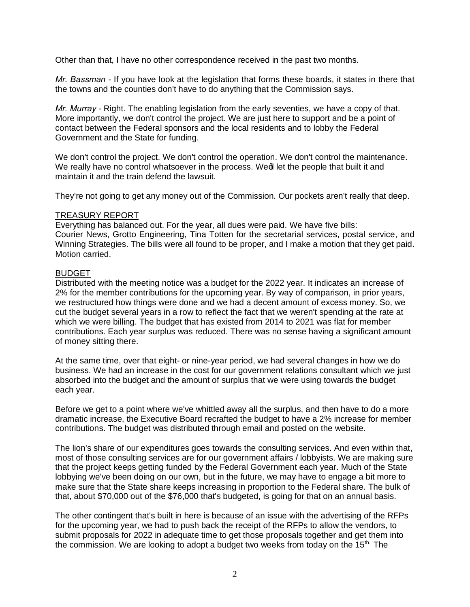Other than that, I have no other correspondence received in the past two months.

*Mr. Bassman* - If you have look at the legislation that forms these boards, it states in there that the towns and the counties don't have to do anything that the Commission says.

*Mr. Murray* - Right. The enabling legislation from the early seventies, we have a copy of that. More importantly, we don't control the project. We are just here to support and be a point of contact between the Federal sponsors and the local residents and to lobby the Federal Government and the State for funding.

We don't control the project. We don't control the operation. We don't control the maintenance. We really have no control whatsoever in the process. Wedl let the people that built it and maintain it and the train defend the lawsuit.

They're not going to get any money out of the Commission. Our pockets aren't really that deep.

#### TREASURY REPORT

Everything has balanced out. For the year, all dues were paid. We have five bills: Courier News, Grotto Engineering, Tina Totten for the secretarial services, postal service, and Winning Strategies. The bills were all found to be proper, and I make a motion that they get paid. Motion carried.

## BUDGET

Distributed with the meeting notice was a budget for the 2022 year. It indicates an increase of 2% for the member contributions for the upcoming year. By way of comparison, in prior years, we restructured how things were done and we had a decent amount of excess money. So, we cut the budget several years in a row to reflect the fact that we weren't spending at the rate at which we were billing. The budget that has existed from 2014 to 2021 was flat for member contributions. Each year surplus was reduced. There was no sense having a significant amount of money sitting there.

At the same time, over that eight- or nine-year period, we had several changes in how we do business. We had an increase in the cost for our government relations consultant which we just absorbed into the budget and the amount of surplus that we were using towards the budget each year.

Before we get to a point where we've whittled away all the surplus, and then have to do a more dramatic increase, the Executive Board recrafted the budget to have a 2% increase for member contributions. The budget was distributed through email and posted on the website.

The lion's share of our expenditures goes towards the consulting services. And even within that, most of those consulting services are for our government affairs / lobbyists. We are making sure that the project keeps getting funded by the Federal Government each year. Much of the State lobbying we've been doing on our own, but in the future, we may have to engage a bit more to make sure that the State share keeps increasing in proportion to the Federal share. The bulk of that, about \$70,000 out of the \$76,000 that's budgeted, is going for that on an annual basis.

The other contingent that's built in here is because of an issue with the advertising of the RFPs for the upcoming year, we had to push back the receipt of the RFPs to allow the vendors, to submit proposals for 2022 in adequate time to get those proposals together and get them into the commission. We are looking to adopt a budget two weeks from today on the 15<sup>th.</sup> The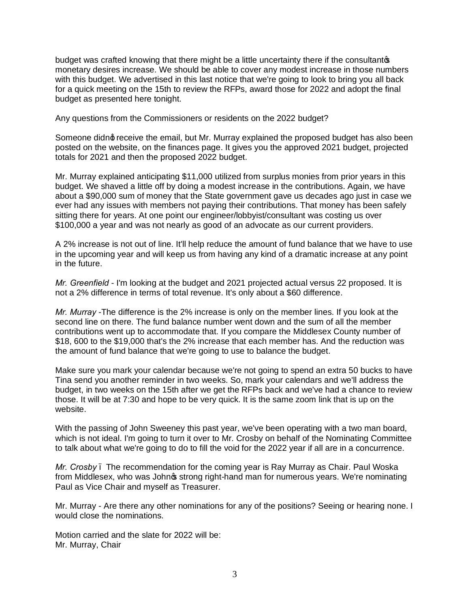budget was crafted knowing that there might be a little uncertainty there if the consultants monetary desires increase. We should be able to cover any modest increase in those numbers with this budget. We advertised in this last notice that we're going to look to bring you all back for a quick meeting on the 15th to review the RFPs, award those for 2022 and adopt the final budget as presented here tonight.

Any questions from the Commissioners or residents on the 2022 budget?

Someone didnot receive the email, but Mr. Murray explained the proposed budget has also been posted on the website, on the finances page. It gives you the approved 2021 budget, projected totals for 2021 and then the proposed 2022 budget.

Mr. Murray explained anticipating \$11,000 utilized from surplus monies from prior years in this budget. We shaved a little off by doing a modest increase in the contributions. Again, we have about a \$90,000 sum of money that the State government gave us decades ago just in case we ever had any issues with members not paying their contributions. That money has been safely sitting there for years. At one point our engineer/lobbyist/consultant was costing us over \$100,000 a year and was not nearly as good of an advocate as our current providers.

A 2% increase is not out of line. It'll help reduce the amount of fund balance that we have to use in the upcoming year and will keep us from having any kind of a dramatic increase at any point in the future.

*Mr. Greenfield* - I'm looking at the budget and 2021 projected actual versus 22 proposed. It is not a 2% difference in terms of total revenue. It's only about a \$60 difference.

*Mr. Murray* -The difference is the 2% increase is only on the member lines. If you look at the second line on there. The fund balance number went down and the sum of all the member contributions went up to accommodate that. If you compare the Middlesex County number of \$18, 600 to the \$19,000 that's the 2% increase that each member has. And the reduction was the amount of fund balance that we're going to use to balance the budget.

Make sure you mark your calendar because we're not going to spend an extra 50 bucks to have Tina send you another reminder in two weeks. So, mark your calendars and we'll address the budget, in two weeks on the 15th after we get the RFPs back and we've had a chance to review those. It will be at 7:30 and hope to be very quick. It is the same zoom link that is up on the website.

With the passing of John Sweeney this past year, we've been operating with a two man board, which is not ideal. I'm going to turn it over to Mr. Crosby on behalf of the Nominating Committee to talk about what we're going to do to fill the void for the 2022 year if all are in a concurrence.

*Mr. Crosby* – The recommendation for the coming year is Ray Murray as Chair. Paul Woska from Middlesex, who was Johnos strong right-hand man for numerous years. We're nominating Paul as Vice Chair and myself as Treasurer.

Mr. Murray - Are there any other nominations for any of the positions? Seeing or hearing none. I would close the nominations.

Motion carried and the slate for 2022 will be: Mr. Murray, Chair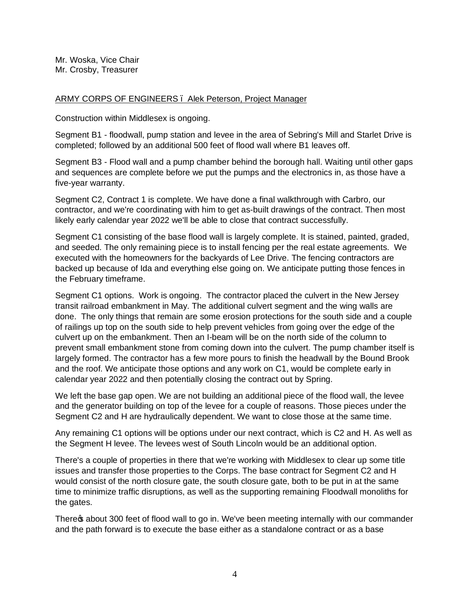Mr. Woska, Vice Chair Mr. Crosby, Treasurer

### ARMY CORPS OF ENGINEERS – Alek Peterson, Project Manager

Construction within Middlesex is ongoing.

Segment B1 - floodwall, pump station and levee in the area of Sebring's Mill and Starlet Drive is completed; followed by an additional 500 feet of flood wall where B1 leaves off.

Segment B3 - Flood wall and a pump chamber behind the borough hall. Waiting until other gaps and sequences are complete before we put the pumps and the electronics in, as those have a five-year warranty.

Segment C2, Contract 1 is complete. We have done a final walkthrough with Carbro, our contractor, and we're coordinating with him to get as-built drawings of the contract. Then most likely early calendar year 2022 we'll be able to close that contract successfully.

Segment C1 consisting of the base flood wall is largely complete. It is stained, painted, graded, and seeded. The only remaining piece is to install fencing per the real estate agreements. We executed with the homeowners for the backyards of Lee Drive. The fencing contractors are backed up because of Ida and everything else going on. We anticipate putting those fences in the February timeframe.

Segment C1 options. Work is ongoing. The contractor placed the culvert in the New Jersey transit railroad embankment in May. The additional culvert segment and the wing walls are done. The only things that remain are some erosion protections for the south side and a couple of railings up top on the south side to help prevent vehicles from going over the edge of the culvert up on the embankment. Then an I-beam will be on the north side of the column to prevent small embankment stone from coming down into the culvert. The pump chamber itself is largely formed. The contractor has a few more pours to finish the headwall by the Bound Brook and the roof. We anticipate those options and any work on C1, would be complete early in calendar year 2022 and then potentially closing the contract out by Spring.

We left the base gap open. We are not building an additional piece of the flood wall, the levee and the generator building on top of the levee for a couple of reasons. Those pieces under the Segment C2 and H are hydraulically dependent. We want to close those at the same time.

Any remaining C1 options will be options under our next contract, which is C2 and H. As well as the Segment H levee. The levees west of South Lincoln would be an additional option.

There's a couple of properties in there that we're working with Middlesex to clear up some title issues and transfer those properties to the Corps. The base contract for Segment C2 and H would consist of the north closure gate, the south closure gate, both to be put in at the same time to minimize traffic disruptions, as well as the supporting remaining Floodwall monoliths for the gates.

There a about 300 feet of flood wall to go in. We've been meeting internally with our commander and the path forward is to execute the base either as a standalone contract or as a base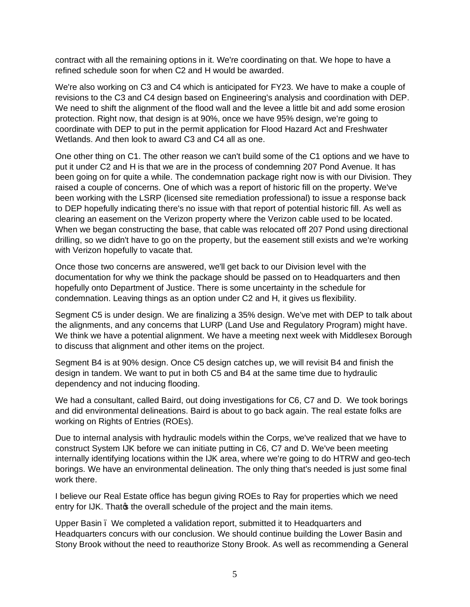contract with all the remaining options in it. We're coordinating on that. We hope to have a refined schedule soon for when C2 and H would be awarded.

We're also working on C3 and C4 which is anticipated for FY23. We have to make a couple of revisions to the C3 and C4 design based on Engineering's analysis and coordination with DEP. We need to shift the alignment of the flood wall and the levee a little bit and add some erosion protection. Right now, that design is at 90%, once we have 95% design, we're going to coordinate with DEP to put in the permit application for Flood Hazard Act and Freshwater Wetlands. And then look to award C3 and C4 all as one.

One other thing on C1. The other reason we can't build some of the C1 options and we have to put it under C2 and H is that we are in the process of condemning 207 Pond Avenue. It has been going on for quite a while. The condemnation package right now is with our Division. They raised a couple of concerns. One of which was a report of historic fill on the property. We've been working with the LSRP (licensed site remediation professional) to issue a response back to DEP hopefully indicating there's no issue with that report of potential historic fill. As well as clearing an easement on the Verizon property where the Verizon cable used to be located. When we began constructing the base, that cable was relocated off 207 Pond using directional drilling, so we didn't have to go on the property, but the easement still exists and we're working with Verizon hopefully to vacate that.

Once those two concerns are answered, we'll get back to our Division level with the documentation for why we think the package should be passed on to Headquarters and then hopefully onto Department of Justice. There is some uncertainty in the schedule for condemnation. Leaving things as an option under C2 and H, it gives us flexibility.

Segment C5 is under design. We are finalizing a 35% design. We've met with DEP to talk about the alignments, and any concerns that LURP (Land Use and Regulatory Program) might have. We think we have a potential alignment. We have a meeting next week with Middlesex Borough to discuss that alignment and other items on the project.

Segment B4 is at 90% design. Once C5 design catches up, we will revisit B4 and finish the design in tandem. We want to put in both C5 and B4 at the same time due to hydraulic dependency and not inducing flooding.

We had a consultant, called Baird, out doing investigations for C6, C7 and D. We took borings and did environmental delineations. Baird is about to go back again. The real estate folks are working on Rights of Entries (ROEs).

Due to internal analysis with hydraulic models within the Corps, we've realized that we have to construct System IJK before we can initiate putting in C6, C7 and D. We've been meeting internally identifying locations within the IJK area, where we're going to do HTRW and geo-tech borings. We have an environmental delineation. The only thing that's needed is just some final work there.

I believe our Real Estate office has begun giving ROEs to Ray for properties which we need entry for IJK. Thatos the overall schedule of the project and the main items.

Upper Basin – We completed a validation report, submitted it to Headquarters and Headquarters concurs with our conclusion. We should continue building the Lower Basin and Stony Brook without the need to reauthorize Stony Brook. As well as recommending a General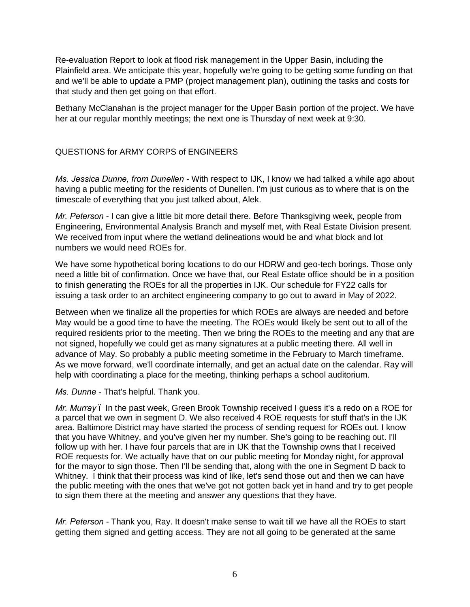Re-evaluation Report to look at flood risk management in the Upper Basin, including the Plainfield area. We anticipate this year, hopefully we're going to be getting some funding on that and we'll be able to update a PMP (project management plan), outlining the tasks and costs for that study and then get going on that effort.

Bethany McClanahan is the project manager for the Upper Basin portion of the project. We have her at our regular monthly meetings; the next one is Thursday of next week at 9:30.

# QUESTIONS for ARMY CORPS of ENGINEERS

*Ms. Jessica Dunne, from Dunellen* - With respect to IJK, I know we had talked a while ago about having a public meeting for the residents of Dunellen. I'm just curious as to where that is on the timescale of everything that you just talked about, Alek.

*Mr. Peterson* - I can give a little bit more detail there. Before Thanksgiving week, people from Engineering, Environmental Analysis Branch and myself met, with Real Estate Division present. We received from input where the wetland delineations would be and what block and lot numbers we would need ROEs for.

We have some hypothetical boring locations to do our HDRW and geo-tech borings. Those only need a little bit of confirmation. Once we have that, our Real Estate office should be in a position to finish generating the ROEs for all the properties in IJK. Our schedule for FY22 calls for issuing a task order to an architect engineering company to go out to award in May of 2022.

Between when we finalize all the properties for which ROEs are always are needed and before May would be a good time to have the meeting. The ROEs would likely be sent out to all of the required residents prior to the meeting. Then we bring the ROEs to the meeting and any that are not signed, hopefully we could get as many signatures at a public meeting there. All well in advance of May. So probably a public meeting sometime in the February to March timeframe. As we move forward, we'll coordinate internally, and get an actual date on the calendar. Ray will help with coordinating a place for the meeting, thinking perhaps a school auditorium.

*Ms. Dunne* - That's helpful. Thank you.

*Mr. Murray* – In the past week, Green Brook Township received I guess it's a redo on a ROE for a parcel that we own in segment D. We also received 4 ROE requests for stuff that's in the IJK area. Baltimore District may have started the process of sending request for ROEs out. I know that you have Whitney, and you've given her my number. She's going to be reaching out. I'll follow up with her. I have four parcels that are in IJK that the Township owns that I received ROE requests for. We actually have that on our public meeting for Monday night, for approval for the mayor to sign those. Then I'll be sending that, along with the one in Segment D back to Whitney. I think that their process was kind of like, let's send those out and then we can have the public meeting with the ones that we've got not gotten back yet in hand and try to get people to sign them there at the meeting and answer any questions that they have.

*Mr. Peterson* - Thank you, Ray. It doesn't make sense to wait till we have all the ROEs to start getting them signed and getting access. They are not all going to be generated at the same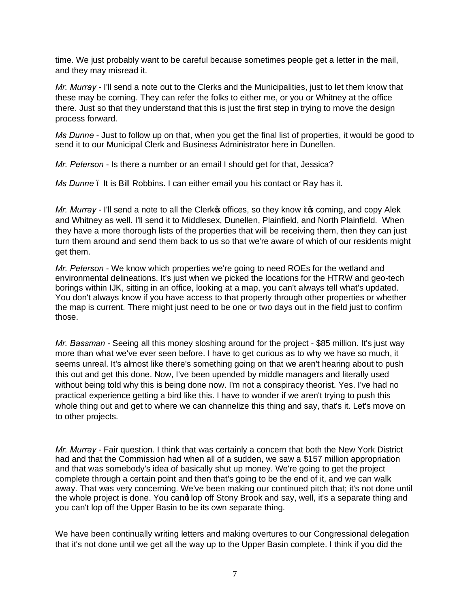time. We just probably want to be careful because sometimes people get a letter in the mail, and they may misread it.

*Mr. Murray* - I'll send a note out to the Clerks and the Municipalities, just to let them know that these may be coming. They can refer the folks to either me, or you or Whitney at the office there. Just so that they understand that this is just the first step in trying to move the design process forward.

*Ms Dunne* - Just to follow up on that, when you get the final list of properties, it would be good to send it to our Municipal Clerk and Business Administrator here in Dunellen.

*Mr. Peterson* - Is there a number or an email I should get for that, Jessica?

*Ms Dunne* – It is Bill Robbins. I can either email you his contact or Ray has it.

*Mr. Murray* - I'll send a note to all the Clerk **s** offices, so they know it **s** coming, and copy Alek and Whitney as well. I'll send it to Middlesex, Dunellen, Plainfield, and North Plainfield. When they have a more thorough lists of the properties that will be receiving them, then they can just turn them around and send them back to us so that we're aware of which of our residents might get them.

*Mr. Peterson* - We know which properties we're going to need ROEs for the wetland and environmental delineations. It's just when we picked the locations for the HTRW and geo-tech borings within IJK, sitting in an office, looking at a map, you can't always tell what's updated. You don't always know if you have access to that property through other properties or whether the map is current. There might just need to be one or two days out in the field just to confirm those.

*Mr. Bassman* - Seeing all this money sloshing around for the project - \$85 million. It's just way more than what we've ever seen before. I have to get curious as to why we have so much, it seems unreal. It's almost like there's something going on that we aren't hearing about to push this out and get this done. Now, I've been upended by middle managers and literally used without being told why this is being done now. I'm not a conspiracy theorist. Yes. I've had no practical experience getting a bird like this. I have to wonder if we aren't trying to push this whole thing out and get to where we can channelize this thing and say, that's it. Let's move on to other projects.

*Mr. Murray* - Fair question. I think that was certainly a concern that both the New York District had and that the Commission had when all of a sudden, we saw a \$157 million appropriation and that was somebody's idea of basically shut up money. We're going to get the project complete through a certain point and then that's going to be the end of it, and we can walk away. That was very concerning. We've been making our continued pitch that; it's not done until the whole project is done. You cand lop off Stony Brook and say, well, it's a separate thing and you can't lop off the Upper Basin to be its own separate thing.

We have been continually writing letters and making overtures to our Congressional delegation that it's not done until we get all the way up to the Upper Basin complete. I think if you did the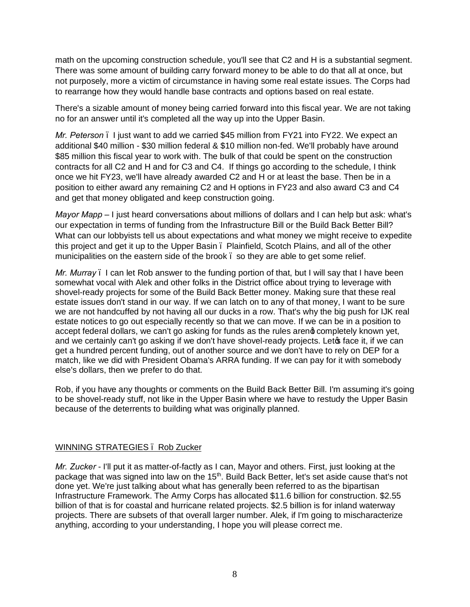math on the upcoming construction schedule, you'll see that C2 and H is a substantial segment. There was some amount of building carry forward money to be able to do that all at once, but not purposely, more a victim of circumstance in having some real estate issues. The Corps had to rearrange how they would handle base contracts and options based on real estate.

There's a sizable amount of money being carried forward into this fiscal year. We are not taking no for an answer until it's completed all the way up into the Upper Basin.

*Mr. Peterson* – I just want to add we carried \$45 million from FY21 into FY22. We expect an additional \$40 million - \$30 million federal & \$10 million non-fed. We'll probably have around \$85 million this fiscal year to work with. The bulk of that could be spent on the construction contracts for all C2 and H and for C3 and C4. If things go according to the schedule, I think once we hit FY23, we'll have already awarded C2 and H or at least the base. Then be in a position to either award any remaining C2 and H options in FY23 and also award C3 and C4 and get that money obligated and keep construction going.

*Mayor Mapp –* I just heard conversations about millions of dollars and I can help but ask: what's our expectation in terms of funding from the Infrastructure Bill or the Build Back Better Bill? What can our lobbyists tell us about expectations and what money we might receive to expedite this project and get it up to the Upper Basin. Plainfield, Scotch Plains, and all of the other municipalities on the eastern side of the brook – so they are able to get some relief.

*Mr. Murray* – I can let Rob answer to the funding portion of that, but I will say that I have been somewhat vocal with Alek and other folks in the District office about trying to leverage with shovel-ready projects for some of the Build Back Better money. Making sure that these real estate issues don't stand in our way. If we can latch on to any of that money, I want to be sure we are not handcuffed by not having all our ducks in a row. That's why the big push for IJK real estate notices to go out especially recently so that we can move. If we can be in a position to accept federal dollars, we can't go asking for funds as the rules areng completely known yet, and we certainly can't go asking if we don't have shovel-ready projects. Let of face it, if we can get a hundred percent funding, out of another source and we don't have to rely on DEP for a match, like we did with President Obama's ARRA funding. If we can pay for it with somebody else's dollars, then we prefer to do that.

Rob, if you have any thoughts or comments on the Build Back Better Bill. I'm assuming it's going to be shovel-ready stuff, not like in the Upper Basin where we have to restudy the Upper Basin because of the deterrents to building what was originally planned.

## WINNING STRATEGIES – Rob Zucker

*Mr. Zucker* - I'll put it as matter-of-factly as I can, Mayor and others. First, just looking at the package that was signed into law on the 15<sup>th</sup>. Build Back Better, let's set aside cause that's not done yet. We're just talking about what has generally been referred to as the bipartisan Infrastructure Framework. The Army Corps has allocated \$11.6 billion for construction. \$2.55 billion of that is for coastal and hurricane related projects. \$2.5 billion is for inland waterway projects. There are subsets of that overall larger number. Alek, if I'm going to mischaracterize anything, according to your understanding, I hope you will please correct me.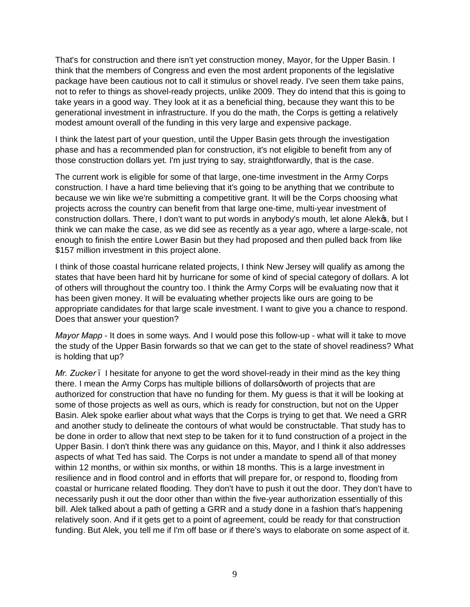That's for construction and there isn't yet construction money, Mayor, for the Upper Basin. I think that the members of Congress and even the most ardent proponents of the legislative package have been cautious not to call it stimulus or shovel ready. I've seen them take pains, not to refer to things as shovel-ready projects, unlike 2009. They do intend that this is going to take years in a good way. They look at it as a beneficial thing, because they want this to be generational investment in infrastructure. If you do the math, the Corps is getting a relatively modest amount overall of the funding in this very large and expensive package.

I think the latest part of your question, until the Upper Basin gets through the investigation phase and has a recommended plan for construction, it's not eligible to benefit from any of those construction dollars yet. I'm just trying to say, straightforwardly, that is the case.

The current work is eligible for some of that large, one-time investment in the Army Corps construction. I have a hard time believing that it's going to be anything that we contribute to because we win like we're submitting a competitive grant. It will be the Corps choosing what projects across the country can benefit from that large one-time, multi-year investment of construction dollars. There, I don't want to put words in anybody's mouth, let alone Alekos, but I think we can make the case, as we did see as recently as a year ago, where a large-scale, not enough to finish the entire Lower Basin but they had proposed and then pulled back from like \$157 million investment in this project alone.

I think of those coastal hurricane related projects, I think New Jersey will qualify as among the states that have been hard hit by hurricane for some of kind of special category of dollars. A lot of others will throughout the country too. I think the Army Corps will be evaluating now that it has been given money. It will be evaluating whether projects like ours are going to be appropriate candidates for that large scale investment. I want to give you a chance to respond. Does that answer your question?

*Mayor Mapp* - It does in some ways. And I would pose this follow-up - what will it take to move the study of the Upper Basin forwards so that we can get to the state of shovel readiness? What is holding that up?

*Mr. Zucker* . I hesitate for anyone to get the word shovel-ready in their mind as the key thing there. I mean the Army Corps has multiple billions of dollars qworth of projects that are authorized for construction that have no funding for them. My guess is that it will be looking at some of those projects as well as ours, which is ready for construction, but not on the Upper Basin. Alek spoke earlier about what ways that the Corps is trying to get that. We need a GRR and another study to delineate the contours of what would be constructable. That study has to be done in order to allow that next step to be taken for it to fund construction of a project in the Upper Basin. I don't think there was any guidance on this, Mayor, and I think it also addresses aspects of what Ted has said. The Corps is not under a mandate to spend all of that money within 12 months, or within six months, or within 18 months. This is a large investment in resilience and in flood control and in efforts that will prepare for, or respond to, flooding from coastal or hurricane related flooding. They don't have to push it out the door. They don't have to necessarily push it out the door other than within the five-year authorization essentially of this bill. Alek talked about a path of getting a GRR and a study done in a fashion that's happening relatively soon. And if it gets get to a point of agreement, could be ready for that construction funding. But Alek, you tell me if I'm off base or if there's ways to elaborate on some aspect of it.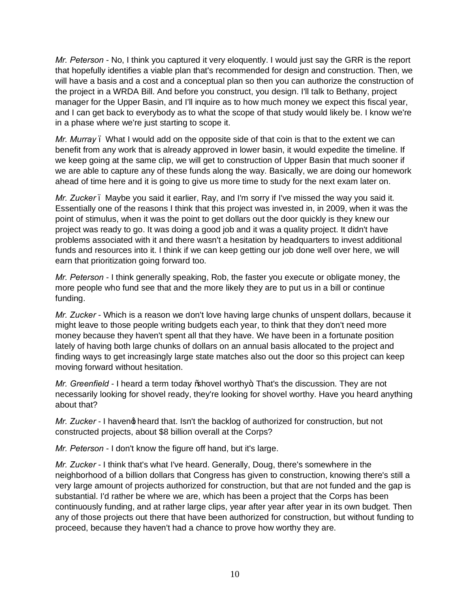*Mr. Peterson* - No, I think you captured it very eloquently. I would just say the GRR is the report that hopefully identifies a viable plan that's recommended for design and construction. Then, we will have a basis and a cost and a conceptual plan so then you can authorize the construction of the project in a WRDA Bill. And before you construct, you design. I'll talk to Bethany, project manager for the Upper Basin, and I'll inquire as to how much money we expect this fiscal year, and I can get back to everybody as to what the scope of that study would likely be. I know we're in a phase where we're just starting to scope it.

*Mr. Murray* – What I would add on the opposite side of that coin is that to the extent we can benefit from any work that is already approved in lower basin, it would expedite the timeline. If we keep going at the same clip, we will get to construction of Upper Basin that much sooner if we are able to capture any of these funds along the way. Basically, we are doing our homework ahead of time here and it is going to give us more time to study for the next exam later on.

*Mr. Zucker* . Maybe you said it earlier, Ray, and I'm sorry if I've missed the way you said it. Essentially one of the reasons I think that this project was invested in, in 2009, when it was the point of stimulus, when it was the point to get dollars out the door quickly is they knew our project was ready to go. It was doing a good job and it was a quality project. It didn't have problems associated with it and there wasn't a hesitation by headquarters to invest additional funds and resources into it. I think if we can keep getting our job done well over here, we will earn that prioritization going forward too.

*Mr. Peterson* - I think generally speaking, Rob, the faster you execute or obligate money, the more people who fund see that and the more likely they are to put us in a bill or continue funding.

*Mr. Zucker* - Which is a reason we don't love having large chunks of unspent dollars, because it might leave to those people writing budgets each year, to think that they don't need more money because they haven't spent all that they have. We have been in a fortunate position lately of having both large chunks of dollars on an annual basis allocated to the project and finding ways to get increasingly large state matches also out the door so this project can keep moving forward without hesitation.

*Mr. Greenfield* - I heard a term today % hovel worthy + That's the discussion. They are not necessarily looking for shovel ready, they're looking for shovel worthy. Have you heard anything about that?

*Mr. Zucker* - I havend heard that. Isn't the backlog of authorized for construction, but not constructed projects, about \$8 billion overall at the Corps?

*Mr. Peterson* - I don't know the figure off hand, but it's large.

*Mr. Zucker* - I think that's what I've heard. Generally, Doug, there's somewhere in the neighborhood of a billion dollars that Congress has given to construction, knowing there's still a very large amount of projects authorized for construction, but that are not funded and the gap is substantial. I'd rather be where we are, which has been a project that the Corps has been continuously funding, and at rather large clips, year after year after year in its own budget. Then any of those projects out there that have been authorized for construction, but without funding to proceed, because they haven't had a chance to prove how worthy they are.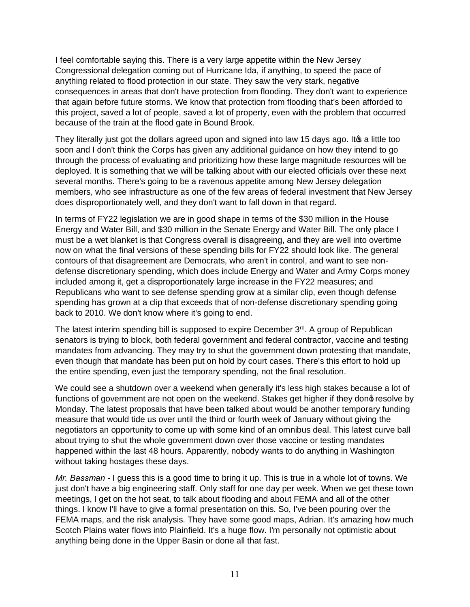I feel comfortable saying this. There is a very large appetite within the New Jersey Congressional delegation coming out of Hurricane Ida, if anything, to speed the pace of anything related to flood protection in our state. They saw the very stark, negative consequences in areas that don't have protection from flooding. They don't want to experience that again before future storms. We know that protection from flooding that's been afforded to this project, saved a lot of people, saved a lot of property, even with the problem that occurred because of the train at the flood gate in Bound Brook.

They literally just got the dollars agreed upon and signed into law 15 days ago. It of a little too soon and I don't think the Corps has given any additional guidance on how they intend to go through the process of evaluating and prioritizing how these large magnitude resources will be deployed. It is something that we will be talking about with our elected officials over these next several months. There's going to be a ravenous appetite among New Jersey delegation members, who see infrastructure as one of the few areas of federal investment that New Jersey does disproportionately well, and they don't want to fall down in that regard.

In terms of FY22 legislation we are in good shape in terms of the \$30 million in the House Energy and Water Bill, and \$30 million in the Senate Energy and Water Bill. The only place I must be a wet blanket is that Congress overall is disagreeing, and they are well into overtime now on what the final versions of these spending bills for FY22 should look like. The general contours of that disagreement are Democrats, who aren't in control, and want to see nondefense discretionary spending, which does include Energy and Water and Army Corps money included among it, get a disproportionately large increase in the FY22 measures; and Republicans who want to see defense spending grow at a similar clip, even though defense spending has grown at a clip that exceeds that of non-defense discretionary spending going back to 2010. We don't know where it's going to end.

The latest interim spending bill is supposed to expire December 3rd. A group of Republican senators is trying to block, both federal government and federal contractor, vaccine and testing mandates from advancing. They may try to shut the government down protesting that mandate, even though that mandate has been put on hold by court cases. There's this effort to hold up the entire spending, even just the temporary spending, not the final resolution.

We could see a shutdown over a weekend when generally it's less high stakes because a lot of functions of government are not open on the weekend. Stakes get higher if they dong resolve by Monday. The latest proposals that have been talked about would be another temporary funding measure that would tide us over until the third or fourth week of January without giving the negotiators an opportunity to come up with some kind of an omnibus deal. This latest curve ball about trying to shut the whole government down over those vaccine or testing mandates happened within the last 48 hours. Apparently, nobody wants to do anything in Washington without taking hostages these days.

*Mr. Bassman* - I guess this is a good time to bring it up. This is true in a whole lot of towns. We just don't have a big engineering staff. Only staff for one day per week. When we get these town meetings, I get on the hot seat, to talk about flooding and about FEMA and all of the other things. I know I'll have to give a formal presentation on this. So, I've been pouring over the FEMA maps, and the risk analysis. They have some good maps, Adrian. It's amazing how much Scotch Plains water flows into Plainfield. It's a huge flow. I'm personally not optimistic about anything being done in the Upper Basin or done all that fast.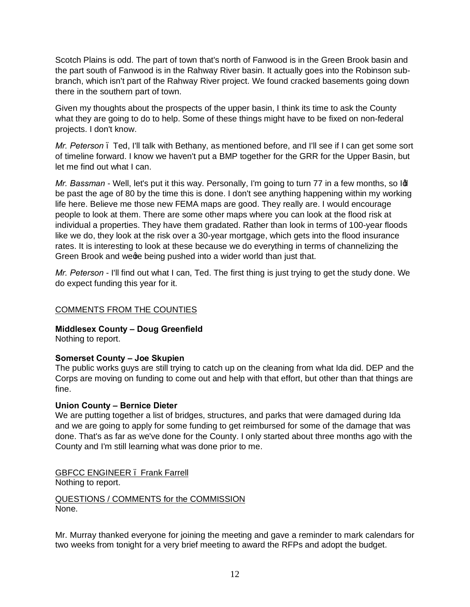Scotch Plains is odd. The part of town that's north of Fanwood is in the Green Brook basin and the part south of Fanwood is in the Rahway River basin. It actually goes into the Robinson subbranch, which isn't part of the Rahway River project. We found cracked basements going down there in the southern part of town.

Given my thoughts about the prospects of the upper basin, I think its time to ask the County what they are going to do to help. Some of these things might have to be fixed on non-federal projects. I don't know.

*Mr. Peterson* – Ted, I'll talk with Bethany, as mentioned before, and I'll see if I can get some sort of timeline forward. I know we haven't put a BMP together for the GRR for the Upper Basin, but let me find out what I can.

*Mr. Bassman* - Well, let's put it this way. Personally, I'm going to turn 77 in a few months, so Id be past the age of 80 by the time this is done. I don't see anything happening within my working life here. Believe me those new FEMA maps are good. They really are. I would encourage people to look at them. There are some other maps where you can look at the flood risk at individual a properties. They have them gradated. Rather than look in terms of 100-year floods like we do, they look at the risk over a 30-year mortgage, which gets into the flood insurance rates. It is interesting to look at these because we do everything in terms of channelizing the Green Brook and wege being pushed into a wider world than just that.

*Mr. Peterson* - I'll find out what I can, Ted. The first thing is just trying to get the study done. We do expect funding this year for it.

# COMMENTS FROM THE COUNTIES

**Middlesex County – Doug Greenfield**

Nothing to report.

# **Somerset County – Joe Skupien**

The public works guys are still trying to catch up on the cleaning from what Ida did. DEP and the Corps are moving on funding to come out and help with that effort, but other than that things are fine.

## **Union County – Bernice Dieter**

We are putting together a list of bridges, structures, and parks that were damaged during Ida and we are going to apply for some funding to get reimbursed for some of the damage that was done. That's as far as we've done for the County. I only started about three months ago with the County and I'm still learning what was done prior to me.

GBFCC ENGINEER – Frank Farrell Nothing to report.

QUESTIONS / COMMENTS for the COMMISSION None.

Mr. Murray thanked everyone for joining the meeting and gave a reminder to mark calendars for two weeks from tonight for a very brief meeting to award the RFPs and adopt the budget.